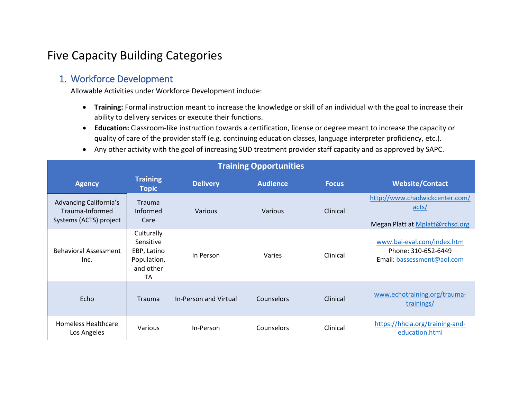# Five Capacity Building Categories

## 1. Workforce Development

Allowable Activities under Workforce Development include:

- **Training:** Formal instruction meant to increase the knowledge or skill of an individual with the goal to increase their ability to delivery services or execute their functions.
- **Education:** Classroom‐like instruction towards a certification, license or degree meant to increase the capacity or quality of care of the provider staff (e.g. continuing education classes, language interpreter proficiency, etc.).
- Any other activity with the goal of increasing SUD treatment provider staff capacity and as approved by SAPC.

| <b>Training Opportunities</b>                                       |                                                                                 |                       |                 |              |                                                                                 |  |
|---------------------------------------------------------------------|---------------------------------------------------------------------------------|-----------------------|-----------------|--------------|---------------------------------------------------------------------------------|--|
| <b>Agency</b>                                                       | <b>Training</b><br><b>Topic</b>                                                 | <b>Delivery</b>       | <b>Audience</b> | <b>Focus</b> | <b>Website/Contact</b>                                                          |  |
| Advancing California's<br>Trauma-Informed<br>Systems (ACTS) project | <b>Trauma</b><br>Informed<br>Care                                               | Various               | Various         | Clinical     | http://www.chadwickcenter.com/<br>acts/<br>Megan Platt at Mplatt@rchsd.org      |  |
| <b>Behavioral Assessment</b><br>Inc.                                | Culturally<br>Sensitive<br>EBP, Latino<br>Population,<br>and other<br><b>TA</b> | In Person             | Varies          | Clinical     | www.bai-eval.com/index.htm<br>Phone: 310-652-6449<br>Email: bassessment@aol.com |  |
| Echo                                                                | <b>Trauma</b>                                                                   | In-Person and Virtual | Counselors      | Clinical     | www.echotraining.org/trauma-<br>trainings/                                      |  |
| <b>Homeless Healthcare</b><br>Los Angeles                           | Various                                                                         | In-Person             | Counselors      | Clinical     | https://hhcla.org/training-and-<br>education.html                               |  |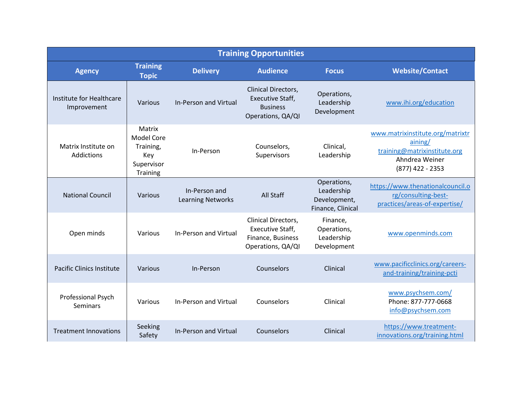| <b>Training Opportunities</b>           |                                                                                  |                                           |                                                                                        |                                                                |                                                                                                                   |  |
|-----------------------------------------|----------------------------------------------------------------------------------|-------------------------------------------|----------------------------------------------------------------------------------------|----------------------------------------------------------------|-------------------------------------------------------------------------------------------------------------------|--|
| <b>Agency</b>                           | <b>Training</b><br><b>Topic</b>                                                  | <b>Delivery</b>                           | <b>Audience</b>                                                                        | <b>Focus</b>                                                   | <b>Website/Contact</b>                                                                                            |  |
| Institute for Healthcare<br>Improvement | Various                                                                          | <b>In-Person and Virtual</b>              | Clinical Directors,<br><b>Executive Staff,</b><br><b>Business</b><br>Operations, QA/QI | Operations,<br>Leadership<br>Development                       | www.ihi.org/education                                                                                             |  |
| Matrix Institute on<br>Addictions       | Matrix<br><b>Model Core</b><br>Training,<br>Key<br>Supervisor<br><b>Training</b> | In-Person                                 | Counselors,<br>Supervisors                                                             | Clinical,<br>Leadership                                        | www.matrixinstitute.org/matrixtr<br>aining/<br>training@matrixinstitute.org<br>Ahndrea Weiner<br>(877) 422 - 2353 |  |
| <b>National Council</b>                 | Various                                                                          | In-Person and<br><b>Learning Networks</b> | All Staff                                                                              | Operations,<br>Leadership<br>Development,<br>Finance, Clinical | https://www.thenationalcouncil.o<br>rg/consulting-best-<br>practices/areas-of-expertise/                          |  |
| Open minds                              | Various                                                                          | In-Person and Virtual                     | Clinical Directors,<br>Executive Staff,<br>Finance, Business<br>Operations, QA/QI      | Finance,<br>Operations,<br>Leadership<br>Development           | www.openminds.com                                                                                                 |  |
| <b>Pacific Clinics Institute</b>        | Various                                                                          | In-Person                                 | Counselors                                                                             | Clinical                                                       | www.pacificclinics.org/careers-<br>and-training/training-pcti                                                     |  |
| Professional Psych<br>Seminars          | Various                                                                          | In-Person and Virtual                     | Counselors                                                                             | Clinical                                                       | www.psychsem.com/<br>Phone: 877-777-0668<br>info@psychsem.com                                                     |  |
| <b>Treatment Innovations</b>            | Seeking<br>Safety                                                                | <b>In-Person and Virtual</b>              | Counselors                                                                             | Clinical                                                       | https://www.treatment-<br>innovations.org/training.html                                                           |  |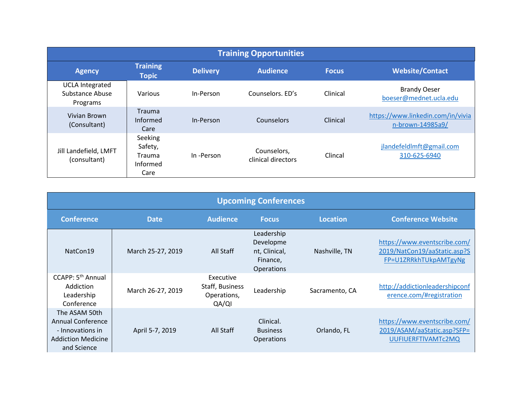| <b>Training Opportunities</b>                         |                                                  |                 |                                   |              |                                                       |
|-------------------------------------------------------|--------------------------------------------------|-----------------|-----------------------------------|--------------|-------------------------------------------------------|
| <b>Agency</b>                                         | <b>Training</b><br><b>Topic</b>                  | <b>Delivery</b> | <b>Audience</b>                   | <b>Focus</b> | <b>Website/Contact</b>                                |
| <b>UCLA Integrated</b><br>Substance Abuse<br>Programs | <b>Various</b>                                   | In-Person       | Counselors, ED's                  | Clinical     | <b>Brandy Oeser</b><br>boeser@mednet.ucla.edu         |
| Vivian Brown<br>(Consultant)                          | <b>Trauma</b><br>Informed<br>Care                | In-Person       | Counselors                        | Clinical     | https://www.linkedin.com/in/vivia<br>n-brown-14985a9/ |
| Jill Landefield, LMFT<br>(consultant)                 | Seeking<br>Safety,<br>Trauma<br>Informed<br>Care | In-Person       | Counselors,<br>clinical directors | Clincal      | jlandefeldlmft@gmail.com<br>310-625-6940              |

| <b>Upcoming Conferences</b>                                                                               |                   |                                                      |                                                                           |                 |                                                                                       |
|-----------------------------------------------------------------------------------------------------------|-------------------|------------------------------------------------------|---------------------------------------------------------------------------|-----------------|---------------------------------------------------------------------------------------|
| <b>Conference</b>                                                                                         | <b>Date</b>       | <b>Audience</b>                                      | <b>Focus</b>                                                              | <b>Location</b> | <b>Conference Website</b>                                                             |
| NatCon19                                                                                                  | March 25-27, 2019 | All Staff                                            | Leadership<br>Developme<br>nt, Clinical,<br>Finance,<br><b>Operations</b> | Nashville, TN   | https://www.eventscribe.com/<br>2019/NatCon19/aaStatic.asp?S<br>FP=U1ZRRkhTUkpAMTgyNg |
| CCAPP: 5 <sup>th</sup> Annual<br>Addiction<br>Leadership<br>Conference                                    | March 26-27, 2019 | Executive<br>Staff, Business<br>Operations,<br>QA/QI | Leadership                                                                | Sacramento, CA  | http://addictionleadershipconf<br>erence.com/#registration                            |
| The ASAM 50th<br><b>Annual Conference</b><br>- Innovations in<br><b>Addiction Medicine</b><br>and Science | April 5-7, 2019   | All Staff                                            | Clinical.<br><b>Business</b><br><b>Operations</b>                         | Orlando, FL     | https://www.eventscribe.com/<br>2019/ASAM/aaStatic.asp?SFP=<br>UUFIUERFTIVAMTc2MQ     |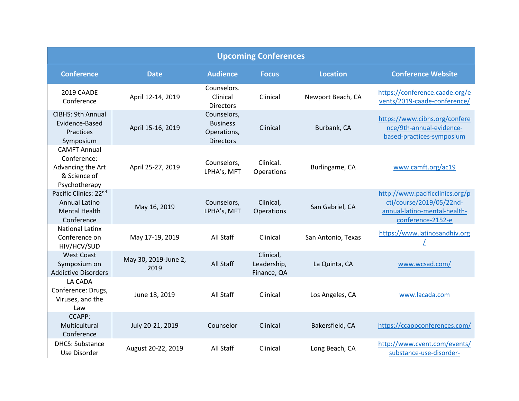| <b>Upcoming Conferences</b>                                                              |                              |                                                                   |                                         |                    |                                                                                                                  |
|------------------------------------------------------------------------------------------|------------------------------|-------------------------------------------------------------------|-----------------------------------------|--------------------|------------------------------------------------------------------------------------------------------------------|
| <b>Conference</b>                                                                        | <b>Date</b>                  | <b>Audience</b>                                                   | <b>Focus</b>                            | <b>Location</b>    | <b>Conference Website</b>                                                                                        |
| 2019 CAADE<br>Conference                                                                 | April 12-14, 2019            | Counselors.<br>Clinical<br><b>Directors</b>                       | Clinical                                | Newport Beach, CA  | https://conference.caade.org/e<br>vents/2019-caade-conference/                                                   |
| <b>CIBHS: 9th Annual</b><br>Evidence-Based<br>Practices<br>Symposium                     | April 15-16, 2019            | Counselors,<br><b>Business</b><br>Operations,<br><b>Directors</b> | Clinical                                | Burbank, CA        | https://www.cibhs.org/confere<br>nce/9th-annual-evidence-<br>based-practices-symposium                           |
| <b>CAMFT Annual</b><br>Conference:<br>Advancing the Art<br>& Science of<br>Psychotherapy | April 25-27, 2019            | Counselors,<br>LPHA's, MFT                                        | Clinical.<br>Operations                 | Burlingame, CA     | www.camft.org/ac19                                                                                               |
| Pacific Clinics: 22nd<br><b>Annual Latino</b><br><b>Mental Health</b><br>Conference      | May 16, 2019                 | Counselors,<br>LPHA's, MFT                                        | Clinical,<br>Operations                 | San Gabriel, CA    | http://www.pacificclinics.org/p<br>cti/course/2019/05/22nd-<br>annual-latino-mental-health-<br>conference-2152-e |
| <b>National Latinx</b><br>Conference on<br>HIV/HCV/SUD                                   | May 17-19, 2019              | All Staff                                                         | Clinical                                | San Antonio, Texas | https://www.latinosandhiv.org                                                                                    |
| <b>West Coast</b><br>Symposium on<br><b>Addictive Disorders</b>                          | May 30, 2019-June 2,<br>2019 | All Staff                                                         | Clinical,<br>Leadership,<br>Finance, QA | La Quinta, CA      | www.wcsad.com/                                                                                                   |
| LA CADA<br>Conference: Drugs,<br>Viruses, and the<br>Law                                 | June 18, 2019                | All Staff                                                         | Clinical                                | Los Angeles, CA    | www.lacada.com                                                                                                   |
| <b>CCAPP:</b><br>Multicultural<br>Conference                                             | July 20-21, 2019             | Counselor                                                         | Clinical                                | Bakersfield, CA    | https://ccappconferences.com/                                                                                    |
| <b>DHCS: Substance</b><br>Use Disorder                                                   | August 20-22, 2019           | All Staff                                                         | Clinical                                | Long Beach, CA     | http://www.cvent.com/events/<br>substance-use-disorder-                                                          |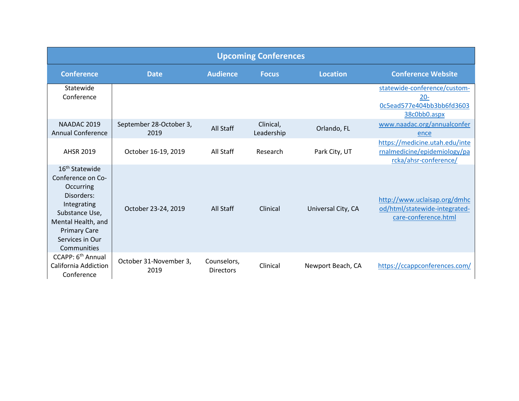| <b>Upcoming Conferences</b>                                                                                                                                                                |                                 |                                 |                         |                    |                                                                                         |
|--------------------------------------------------------------------------------------------------------------------------------------------------------------------------------------------|---------------------------------|---------------------------------|-------------------------|--------------------|-----------------------------------------------------------------------------------------|
| <b>Conference</b>                                                                                                                                                                          | <b>Date</b>                     | <b>Audience</b>                 | <b>Focus</b>            | <b>Location</b>    | <b>Conference Website</b>                                                               |
| Statewide<br>Conference                                                                                                                                                                    |                                 |                                 |                         |                    | statewide-conference/custom-<br>$20 -$<br>0c5ead577e404bb3bb6fd3603<br>38c0bb0.aspx     |
| NAADAC 2019<br><b>Annual Conference</b>                                                                                                                                                    | September 28-October 3,<br>2019 | All Staff                       | Clinical,<br>Leadership | Orlando, FL        | www.naadac.org/annualconfer<br>ence                                                     |
| <b>AHSR 2019</b>                                                                                                                                                                           | October 16-19, 2019             | All Staff                       | Research                | Park City, UT      | https://medicine.utah.edu/inte<br>rnalmedicine/epidemiology/pa<br>rcka/ahsr-conference/ |
| 16 <sup>th</sup> Statewide<br>Conference on Co-<br>Occurring<br>Disorders:<br>Integrating<br>Substance Use,<br>Mental Health, and<br><b>Primary Care</b><br>Services in Our<br>Communities | October 23-24, 2019             | All Staff                       | Clinical                | Universal City, CA | http://www.uclaisap.org/dmhc<br>od/html/statewide-integrated-<br>care-conference.html   |
| CCAPP: 6 <sup>th</sup> Annual<br><b>California Addiction</b><br>Conference                                                                                                                 | October 31-November 3,<br>2019  | Counselors,<br><b>Directors</b> | Clinical                | Newport Beach, CA  | https://ccappconferences.com/                                                           |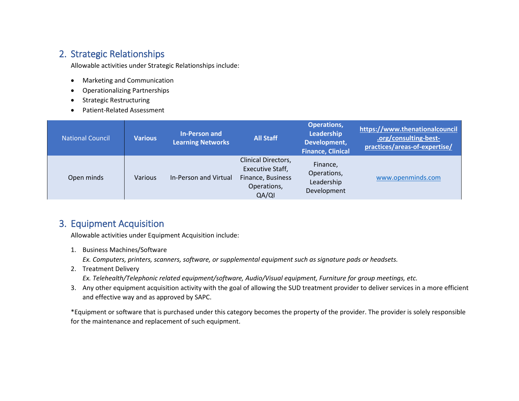### 2. Strategic Relationships

Allowable activities under Strategic Relationships include:

- Marketing and Communication
- Operationalizing Partnerships
- Strategic Restructuring
- Patient-Related Assessment

| <b>National Council</b> | <b>Various</b> | <b>In-Person and</b><br><b>Learning Networks</b> | <b>All Staff</b>                                                                     | <b>Operations,</b><br>Leadership<br>Development,<br><b>Finance, Clinical</b> | https://www.thenationalcouncil<br>.org/consulting-best-<br>practices/areas-of-expertise/ |
|-------------------------|----------------|--------------------------------------------------|--------------------------------------------------------------------------------------|------------------------------------------------------------------------------|------------------------------------------------------------------------------------------|
| Open minds              | Various        | In-Person and Virtual                            | Clinical Directors,<br>Executive Staff,<br>Finance, Business<br>Operations,<br>QA/QI | Finance,<br>Operations,<br>Leadership<br>Development                         | www.openminds.com                                                                        |

## 3. Equipment Acquisition

Allowable activities under Equipment Acquisition include:

1. Business Machines/Software

*Ex. Computers, printers, scanners, software, or supplemental equipment such as signature pads or headsets.*

- 2. Treatment Delivery
	- *Ex. Telehealth/Telephonic related equipment/software, Audio/Visual equipment, Furniture for group meetings, etc.*
- 3. Any other equipment acquisition activity with the goal of allowing the SUD treatment provider to deliver services in a more efficient and effective way and as approved by SAPC.

\*Equipment or software that is purchased under this category becomes the property of the provider. The provider is solely responsible for the maintenance and replacement of such equipment.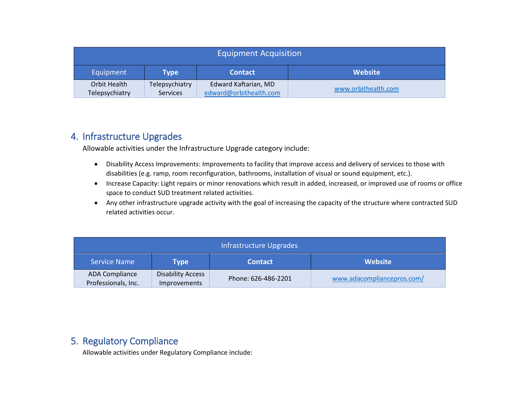| <b>Equipment Acquisition</b>                          |                                   |                                                |                     |  |
|-------------------------------------------------------|-----------------------------------|------------------------------------------------|---------------------|--|
| <b>Website</b><br>Equipment<br><b>Contact</b><br>Type |                                   |                                                |                     |  |
| Orbit Health<br>Telepsychiatry                        | Telepsychiatry<br><b>Services</b> | Edward Kaftarian, MD<br>edward@orbithealth.com | www.orbithealth.com |  |

### 4. Infrastructure Upgrades

Allowable activities under the Infrastructure Upgrade category include:

- Disability Access Improvements: Improvements to facility that improve access and delivery of services to those with disabilities (e.g. ramp, room reconfiguration, bathrooms, installation of visual or sound equipment, etc.).
- Increase Capacity: Light repairs or minor renovations which result in added, increased, or improved use of rooms or office space to conduct SUD treatment related activities.
- Any other infrastructure upgrade activity with the goal of increasing the capacity of the structure where contracted SUD related activities occur.

| Infrastructure Upgrades                      |                                                 |                     |                            |  |  |
|----------------------------------------------|-------------------------------------------------|---------------------|----------------------------|--|--|
| <b>Service Name</b>                          | Type                                            | <b>Contact</b>      | <b>Website</b>             |  |  |
| <b>ADA Compliance</b><br>Professionals, Inc. | <b>Disability Access</b><br><b>Improvements</b> | Phone: 626-486-2201 | www.adacompliancepros.com/ |  |  |

### 5. Regulatory Compliance

Allowable activities under Regulatory Compliance include: